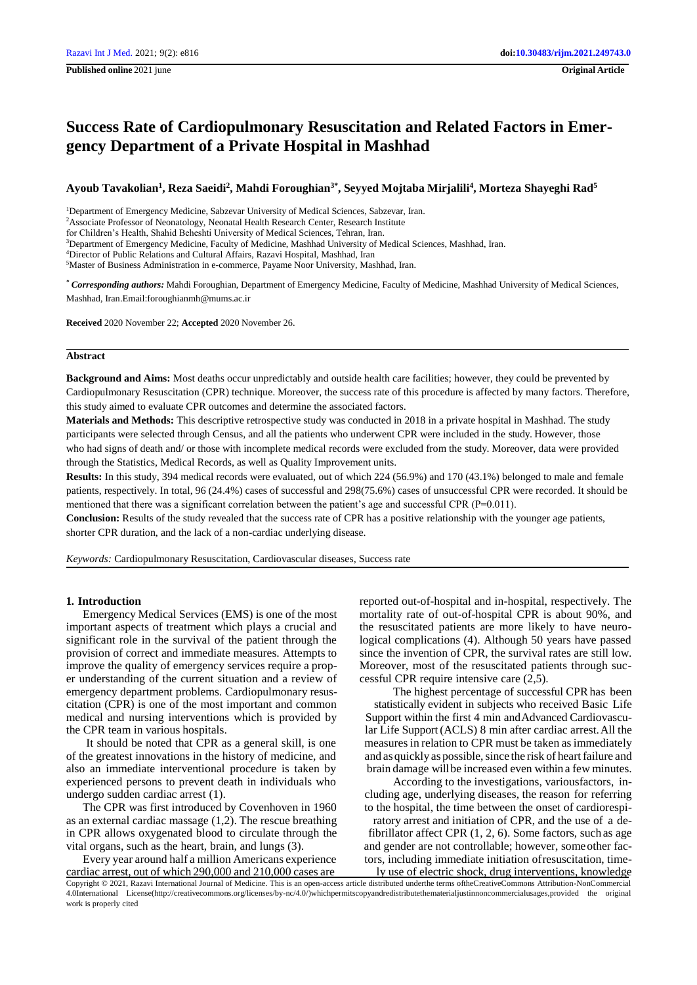# **Success Rate of Cardiopulmonary Resuscitation and Related Factors in Emergency Department of a Private Hospital in Mashhad**

**Ayoub Tavakolian<sup>1</sup> , Reza Saeidi<sup>2</sup> , Mahdi Foroughian3\*, Seyyed Mojtaba Mirjalili<sup>4</sup> , Morteza Shayeghi Rad<sup>5</sup>**

<sup>1</sup>Department of Emergency Medicine, Sabzevar University of Medical Sciences, Sabzevar, Iran.

for Children's Health, Shahid Beheshti University of Medical Sciences, Tehran, Iran.

<sup>3</sup>Department of Emergency Medicine, Faculty of Medicine, Mashhad University of Medical Sciences, Mashhad, Iran.

<sup>4</sup>Director of Public Relations and Cultural Affairs, Razavi Hospital, Mashhad, Iran

<sup>5</sup>Master of Business Administration in e-commerce, Payame Noor University, Mashhad, Iran.

*\* Corresponding authors:* Mahdi Foroughian, Department of Emergency Medicine, Faculty of Medicine, Mashhad University of Medical Sciences, Mashhad, Ira[n.Email:foroughianmh@mums.ac.ir](mailto:foroughianmh@mums.ac.ir)

**Received** 2020 November 22; **Accepted** 2020 November 26.

# **Abstract**

**Background and Aims:** Most deaths occur unpredictably and outside health care facilities; however, they could be prevented by Cardiopulmonary Resuscitation (CPR) technique. Moreover, the success rate of this procedure is affected by many factors. Therefore, this study aimed to evaluate CPR outcomes and determine the associated factors.

**Materials and Methods:** This descriptive retrospective study was conducted in 2018 in a private hospital in Mashhad. The study participants were selected through Census, and all the patients who underwent CPR were included in the study. However, those who had signs of death and/ or those with incomplete medical records were excluded from the study. Moreover, data were provided through the Statistics, Medical Records, as well as Quality Improvement units.

**Results:** In this study, 394 medical records were evaluated, out of which 224 (56.9%) and 170 (43.1%) belonged to male and female patients, respectively. In total, 96 (24.4%) cases of successful and 298(75.6%) cases of unsuccessful CPR were recorded. It should be mentioned that there was a significant correlation between the patient's age and successful CPR (P=0.011).

**Conclusion:** Results of the study revealed that the success rate of CPR has a positive relationship with the younger age patients, shorter CPR duration, and the lack of a non-cardiac underlying disease.

*Keywords:* Cardiopulmonary Resuscitation, Cardiovascular diseases, Success rate

## **1. Introduction**

Emergency Medical Services (EMS) is one of the most important aspects of treatment which plays a crucial and significant role in the survival of the patient through the provision of correct and immediate measures. Attempts to improve the quality of emergency services require a proper understanding of the current situation and a review of emergency department problems. Cardiopulmonary resuscitation (CPR) is one of the most important and common medical and nursing interventions which is provided by the CPR team in various hospitals.

It should be noted that CPR as a general skill, is one of the greatest innovations in the history of medicine, and also an immediate interventional procedure is taken by experienced persons to prevent death in individuals who undergo sudden cardiac arrest (1).

The CPR was first introduced by Covenhoven in 1960 as an external cardiac massage (1,2). The rescue breathing in CPR allows oxygenated blood to circulate through the vital organs, such as the heart, brain, and lungs (3).

Every year around half a million Americans experience cardiac arrest, out of which 290,000 and 210,000 cases are

reported out-of-hospital and in-hospital, respectively. The mortality rate of out-of-hospital CPR is about 90%, and the resuscitated patients are more likely to have neurological complications (4). Although 50 years have passed since the invention of CPR, the survival rates are still low. Moreover, most of the resuscitated patients through successful CPR require intensive care (2,5).

The highest percentage of successful CPR has been statistically evident in subjects who received Basic Life Support within the first 4 min andAdvanced Cardiovascular Life Support(ACLS) 8 min after cardiac arrest.All the measures in relation to CPR must be taken as immediately and as quickly as possible, since the risk of heart failure and brain damage will be increased even within a few minutes.

According to the investigations, variousfactors, including age, underlying diseases, the reason for referring to the hospital, the time between the onset of cardiorespi-

ratory arrest and initiation of CPR, and the use of a defibrillator affect CPR (1, 2, 6). Some factors, suchas age and gender are not controllable; however, someother factors, including immediate initiation ofresuscitation, timely use of electric shock, drug interventions, knowledge

Copyright © 2021, Razavi International Journal of Medicine. This is an open-access article distributed underthe terms oftheCreativeCommons Attribution-NonCommercial 4.0International Lic[ense\(http://creativecommons.org/licenses/by-nc/4.0/\)whichpermitscopyandredistributethematerialjustinnoncommercialusages,provided](http://creativecommons.org/licenses/by-nc/4.0/)whichpermitscopyandredistributethematerialjustinnoncommercialusages%2Cprovided) the original work is properly cited

<sup>2</sup>Associate Professor of Neonatology, Neonatal Health Research Center, Research Institute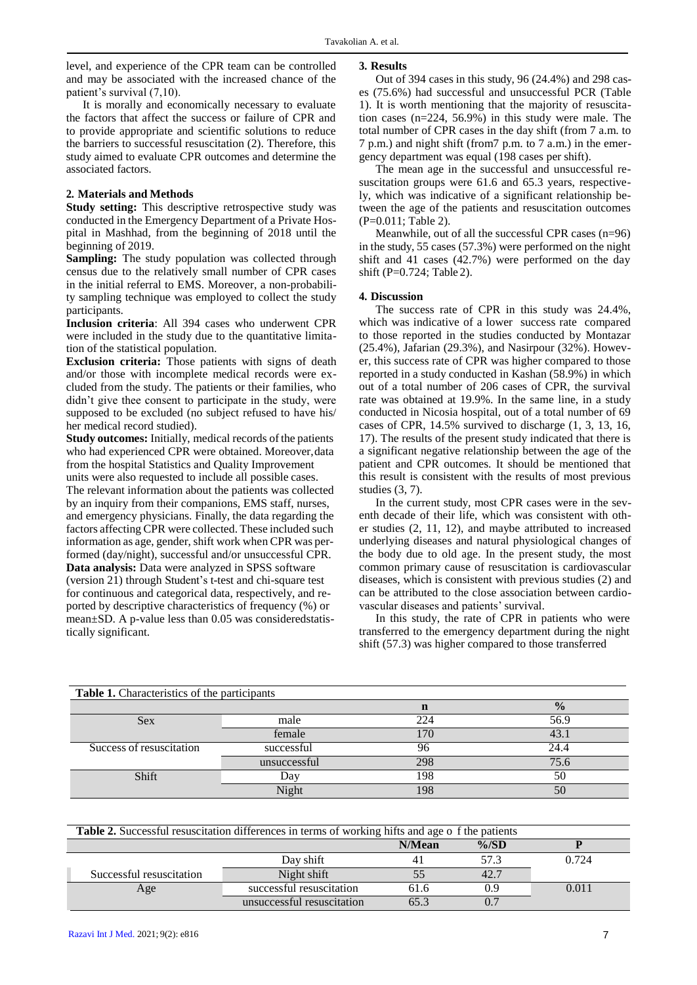level, and experience of the CPR team can be controlled and may be associated with the increased chance of the patient's survival (7,10).

It is morally and economically necessary to evaluate the factors that affect the success or failure of CPR and to provide appropriate and scientific solutions to reduce the barriers to successful resuscitation (2). Therefore, this study aimed to evaluate CPR outcomes and determine the associated factors.

## **2. Materials and Methods**

**Study setting:** This descriptive retrospective study was conducted in the Emergency Department of a Private Hospital in Mashhad, from the beginning of 2018 until the beginning of 2019.

**Sampling:** The study population was collected through census due to the relatively small number of CPR cases in the initial referral to EMS. Moreover, a non-probability sampling technique was employed to collect the study participants.

**Inclusion criteria**: All 394 cases who underwent CPR were included in the study due to the quantitative limitation of the statistical population.

**Exclusion criteria:** Those patients with signs of death and/or those with incomplete medical records were excluded from the study. The patients or their families, who didn't give thee consent to participate in the study, were supposed to be excluded (no subject refused to have his/ her medical record studied).

**Study outcomes:** Initially, medical records of the patients who had experienced CPR were obtained. Moreover,data from the hospital Statistics and Quality Improvement units were also requested to include all possible cases.

The relevant information about the patients was collected by an inquiry from their companions, EMS staff, nurses, and emergency physicians. Finally, the data regarding the factors affecting CPR were collected. These included such information as age, gender, shift work when CPR was performed (day/night), successful and/or unsuccessful CPR. **Data analysis:** Data were analyzed in SPSS software (version 21) through Student's t-test and chi-square test for continuous and categorical data, respectively, and reported by descriptive characteristics of frequency (%) or mean±SD. A p-value less than 0.05 was consideredstatistically significant.

## **3. Results**

Out of 394 cases in this study, 96 (24.4%) and 298 cases (75.6%) had successful and unsuccessful PCR (Table 1). It is worth mentioning that the majority of resuscitation cases (n=224, 56.9%) in this study were male. The total number of CPR cases in the day shift (from 7 a.m. to 7 p.m.) and night shift (from7 p.m. to 7 a.m.) in the emergency department was equal (198 cases per shift).

The mean age in the successful and unsuccessful resuscitation groups were 61.6 and 65.3 years, respectively, which was indicative of a significant relationship between the age of the patients and resuscitation outcomes (P=0.011; Table 2).

Meanwhile, out of all the successful CPR cases (n=96) in the study, 55 cases (57.3%) were performed on the night shift and 41 cases (42.7%) were performed on the day shift (P=0.724; Table 2).

## **4. Discussion**

The success rate of CPR in this study was 24.4%, which was indicative of a lower success rate compared to those reported in the studies conducted by Montazar (25.4%), Jafarian (29.3%), and Nasirpour (32%). However, this success rate of CPR was higher compared to those reported in a study conducted in Kashan (58.9%) in which out of a total number of 206 cases of CPR, the survival rate was obtained at 19.9%. In the same line, in a study conducted in Nicosia hospital, out of a total number of 69 cases of CPR, 14.5% survived to discharge (1, 3, 13, 16, 17). The results of the present study indicated that there is a significant negative relationship between the age of the patient and CPR outcomes. It should be mentioned that this result is consistent with the results of most previous studies (3, 7).

In the current study, most CPR cases were in the seventh decade of their life, which was consistent with other studies (2, 11, 12), and maybe attributed to increased underlying diseases and natural physiological changes of the body due to old age. In the present study, the most common primary cause of resuscitation is cardiovascular diseases, which is consistent with previous studies (2) and can be attributed to the close association between cardiovascular diseases and patients' survival.

In this study, the rate of CPR in patients who were transferred to the emergency department during the night shift (57.3) was higher compared to those transferred

| <b>Table 1.</b> Characteristics of the participants |              |                |               |  |  |  |
|-----------------------------------------------------|--------------|----------------|---------------|--|--|--|
|                                                     |              | n              | $\frac{0}{0}$ |  |  |  |
| Sex                                                 | male         | 224            | 56.9          |  |  |  |
|                                                     | female       | 7 <sub>C</sub> | 43            |  |  |  |
| Success of resuscitation                            | successful   |                | 24.4          |  |  |  |
|                                                     | unsuccessful | 298            | 75.6          |  |  |  |
| Shift                                               | Dav          | 198            | 50            |  |  |  |
|                                                     | Night        | 198            | 50            |  |  |  |

| <b>Table 2.</b> Successful resuscitation differences in terms of working hifts and age of the patients |                            |        |          |       |  |
|--------------------------------------------------------------------------------------------------------|----------------------------|--------|----------|-------|--|
|                                                                                                        |                            | N/Mean | $\%$ /SD |       |  |
|                                                                                                        | Day shift                  |        | 57.3     | 0.724 |  |
| Successful resuscitation                                                                               | Night shift                |        | 42.7     |       |  |
| Age                                                                                                    | successful resuscitation   | 61.6   | 0.9      | 0.011 |  |
|                                                                                                        | unsuccessful resuscitation | 65.3   | 0.7      |       |  |